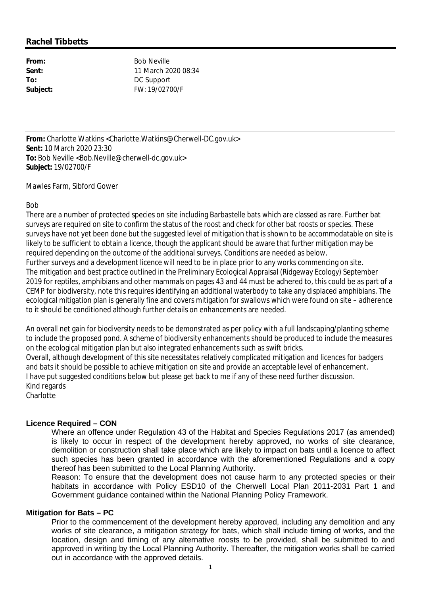# **Rachel Tibbetts**

**From:** Bob Neville **Sent:** 11 March 2020 08:34 **To:** DC Support **Subject:** FW: 19/02700/F

**From:** Charlotte Watkins <Charlotte.Watkins@Cherwell-DC.gov.uk> **Sent:** 10 March 2020 23:30 To: Bob Neville <Bob.Neville@cherwell-dc.gov.uk> **Subject:** 19/02700/F

Mawles Farm, Sibford Gower

## Bob

There are a number of protected species on site including Barbastelle bats which are classed as rare. Further bat surveys are required on site to confirm the status of the roost and check for other bat roosts or species. These surveys have not yet been done but the suggested level of mitigation that is shown to be accommodatable on site is likely to be sufficient to obtain a licence, though the applicant should be aware that further mitigation may be required depending on the outcome of the additional surveys. Conditions are needed as below. Further surveys and a development licence will need to be in place prior to any works commencing on site. The mitigation and best practice outlined in the Preliminary Ecological Appraisal (Ridgeway Ecology) September 2019 for reptiles, amphibians and other mammals on pages 43 and 44 must be adhered to, this could be as part of a CEMP for biodiversity, note this requires identifying an additional waterbody to take any displaced amphibians. The ecological mitigation plan is generally fine and covers mitigation for swallows which were found on site – adherence to it should be conditioned although further details on enhancements are needed.

An overall net gain for biodiversity needs to be demonstrated as per policy with a full landscaping/planting scheme to include the proposed pond. A scheme of biodiversity enhancements should be produced to include the measures on the ecological mitigation plan but also integrated enhancements such as swift bricks. Overall, although development of this site necessitates relatively complicated mitigation and licences for badgers and bats it should be possible to achieve mitigation on site and provide an acceptable level of enhancement. I have put suggested conditions below but please get back to me if any of these need further discussion. Kind regards **Charlotte** 

# **Licence Required – CON**

Where an offence under Regulation 43 of the Habitat and Species Regulations 2017 (as amended) is likely to occur in respect of the development hereby approved, no works of site clearance, demolition or construction shall take place which are likely to impact on bats until a licence to affect such species has been granted in accordance with the aforementioned Regulations and a copy thereof has been submitted to the Local Planning Authority.

Reason: To ensure that the development does not cause harm to any protected species or their habitats in accordance with Policy ESD10 of the Cherwell Local Plan 2011-2031 Part 1 and Government guidance contained within the National Planning Policy Framework.

#### **Mitigation for Bats – PC**

Prior to the commencement of the development hereby approved, including any demolition and any works of site clearance, a mitigation strategy for bats, which shall include timing of works, and the location, design and timing of any alternative roosts to be provided, shall be submitted to and approved in writing by the Local Planning Authority. Thereafter, the mitigation works shall be carried out in accordance with the approved details.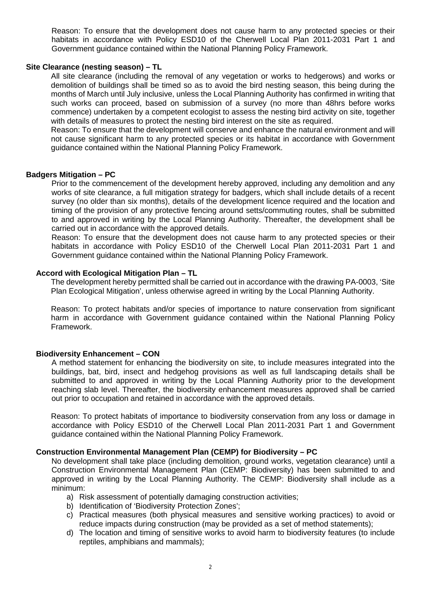Reason: To ensure that the development does not cause harm to any protected species or their habitats in accordance with Policy ESD10 of the Cherwell Local Plan 2011-2031 Part 1 and Government guidance contained within the National Planning Policy Framework.

#### **Site Clearance (nesting season) – TL**

All site clearance (including the removal of any vegetation or works to hedgerows) and works or demolition of buildings shall be timed so as to avoid the bird nesting season, this being during the months of March until July inclusive, unless the Local Planning Authority has confirmed in writing that such works can proceed, based on submission of a survey (no more than 48hrs before works commence) undertaken by a competent ecologist to assess the nesting bird activity on site, together with details of measures to protect the nesting bird interest on the site as required.

Reason: To ensure that the development will conserve and enhance the natural environment and will not cause significant harm to any protected species or its habitat in accordance with Government guidance contained within the National Planning Policy Framework.

## **Badgers Mitigation – PC**

Prior to the commencement of the development hereby approved, including any demolition and any works of site clearance, a full mitigation strategy for badgers, which shall include details of a recent survey (no older than six months), details of the development licence required and the location and timing of the provision of any protective fencing around setts/commuting routes, shall be submitted to and approved in writing by the Local Planning Authority. Thereafter, the development shall be carried out in accordance with the approved details.

Reason: To ensure that the development does not cause harm to any protected species or their habitats in accordance with Policy ESD10 of the Cherwell Local Plan 2011-2031 Part 1 and Government guidance contained within the National Planning Policy Framework.

#### **Accord with Ecological Mitigation Plan – TL**

The development hereby permitted shall be carried out in accordance with the drawing PA-0003, 'Site Plan Ecological Mitigation', unless otherwise agreed in writing by the Local Planning Authority.

Reason: To protect habitats and/or species of importance to nature conservation from significant harm in accordance with Government guidance contained within the National Planning Policy Framework.

#### **Biodiversity Enhancement – CON**

A method statement for enhancing the biodiversity on site, to include measures integrated into the buildings, bat, bird, insect and hedgehog provisions as well as full landscaping details shall be submitted to and approved in writing by the Local Planning Authority prior to the development reaching slab level. Thereafter, the biodiversity enhancement measures approved shall be carried out prior to occupation and retained in accordance with the approved details.

Reason: To protect habitats of importance to biodiversity conservation from any loss or damage in accordance with Policy ESD10 of the Cherwell Local Plan 2011-2031 Part 1 and Government guidance contained within the National Planning Policy Framework.

#### **Construction Environmental Management Plan (CEMP) for Biodiversity – PC**

No development shall take place (including demolition, ground works, vegetation clearance) until a Construction Environmental Management Plan (CEMP: Biodiversity) has been submitted to and approved in writing by the Local Planning Authority. The CEMP: Biodiversity shall include as a minimum:

- a) Risk assessment of potentially damaging construction activities;
- b) Identification of 'Biodiversity Protection Zones';
- c) Practical measures (both physical measures and sensitive working practices) to avoid or reduce impacts during construction (may be provided as a set of method statements);
- d) The location and timing of sensitive works to avoid harm to biodiversity features (to include reptiles, amphibians and mammals);